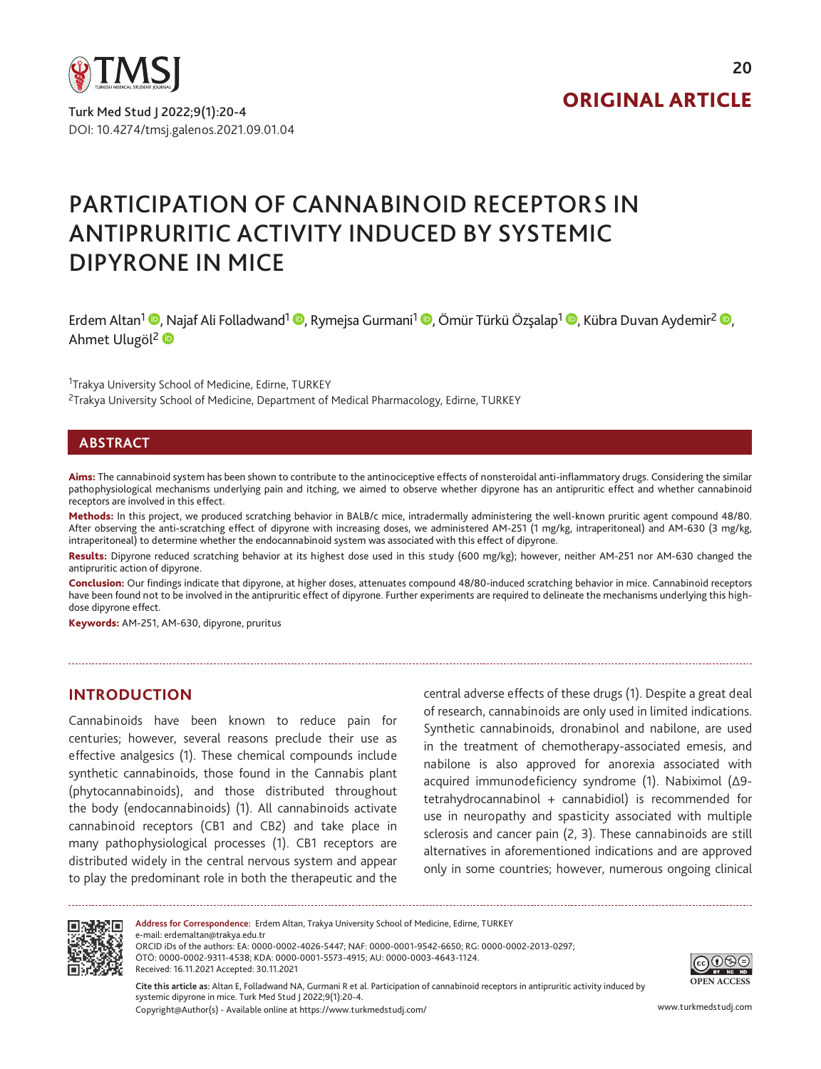

DOI: 10.4274/tmsj.galenos.2021.09.01.04 Turk Med Stud J 2022;9(1):20-4

# ORIGINAL ARTICLE

# PARTICIPATION OF CANNABINOID RECEPTORS IN ANTIPRURITIC ACTIVITY INDUCED BY SYSTEMIC DIPYRONE IN MICE

Erdem Altan<sup>1</sup> <sup>®</sup>[,](https://orcid.org/0000-0001-5573-4915) Najaf Ali Folladwand<sup>1</sup> ®, Rymejsa Gurmani<sup>1</sup> ®, Ömür Türkü Özsalap<sup>1 ©</sup>, Kübra Duvan Aydemir<sup>2</sup> ®, Ahmet Ulugöl<sup>2</sup>

<sup>1</sup>Trakya University School of Medicine, Edirne, TURKEY <sup>2</sup>Trakya University School of Medicine, Department of Medical Pharmacology, Edirne, TURKEY

#### **ABSTRACT**

Aims: The cannabinoid system has been shown to contribute to the antinociceptive effects of nonsteroidal anti-inflammatory drugs. Considering the similar pathophysiological mechanisms underlying pain and itching, we aimed to observe whether dipyrone has an antipruritic effect and whether cannabinoid receptors are involved in this effect.

Methods: In this project, we produced scratching behavior in BALB/c mice, intradermally administering the well-known pruritic agent compound 48/80. After observing the anti-scratching effect of dipyrone with increasing doses, we administered AM-251 (1 mg/kg, intraperitoneal) and AM-630 (3 mg/kg, intraperitoneal) to determine whether the endocannabinoid system was associated with this effect of dipyrone.

Results: Dipyrone reduced scratching behavior at its highest dose used in this study (600 mg/kg); however, neither AM-251 nor AM-630 changed the antipruritic action of dipyrone.

Conclusion: Our findings indicate that dipyrone, at higher doses, attenuates compound 48/80-induced scratching behavior in mice. Cannabinoid receptors have been found not to be involved in the antipruritic effect of dipyrone. Further experiments are required to delineate the mechanisms underlying this highdose dipyrone effect.

Keywords: AM-251, AM-630, dipyrone, pruritus

#### **INTRODUCTION**

Cannabinoids have been known to reduce pain for centuries; however, several reasons preclude their use as effective analgesics (1). These chemical compounds include synthetic cannabinoids, those found in the Cannabis plant (phytocannabinoids), and those distributed throughout the body (endocannabinoids) (1). All cannabinoids activate cannabinoid receptors (CB1 and CB2) and take place in many pathophysiological processes (1). CB1 receptors are distributed widely in the central nervous system and appear to play the predominant role in both the therapeutic and the

central adverse effects of these drugs (1). Despite a great deal of research, cannabinoids are only used in limited indications. Synthetic cannabinoids, dronabinol and nabilone, are used in the treatment of chemotherapy-associated emesis, and nabilone is also approved for anorexia associated with acquired immunodeficiency syndrome (1). Nabiximol (Δ9 tetrahydrocannabinol + cannabidiol) is recommended for use in neuropathy and spasticity associated with multiple sclerosis and cancer pain (2, 3). These cannabinoids are still alternatives in aforementioned indications and are approved only in some countries; however, numerous ongoing clinical



**Address for Correspondence:** Erdem Altan, Trakya University School of Medicine, Edirne, TURKEY e-mail: erdemaltan@trakya.edu.tr ORCID iDs of the authors: EA: 0000-0002-4026-5447; NAF: 0000-0001-9542-6650; RG: 0000-0002-2013-0297; ÖTÖ: 0000-0002-9311-4538; KDA: 0000-0001-5573-4915; AU: 0000-0003-4643-1124. Received: 16.11.2021 Accepted: 30.11.2021

Copyright@Author(s) - Available online at https://www.turkmedstudj.com/ www.turkmedstudj.com **Cite this article as:** Altan E, Folladwand NA, Gurmani R et al. Participation of cannabinoid receptors in antipruritic activity induced by systemic dipyrone in mice. Turk Med Stud J 2022;9(1):20-4.

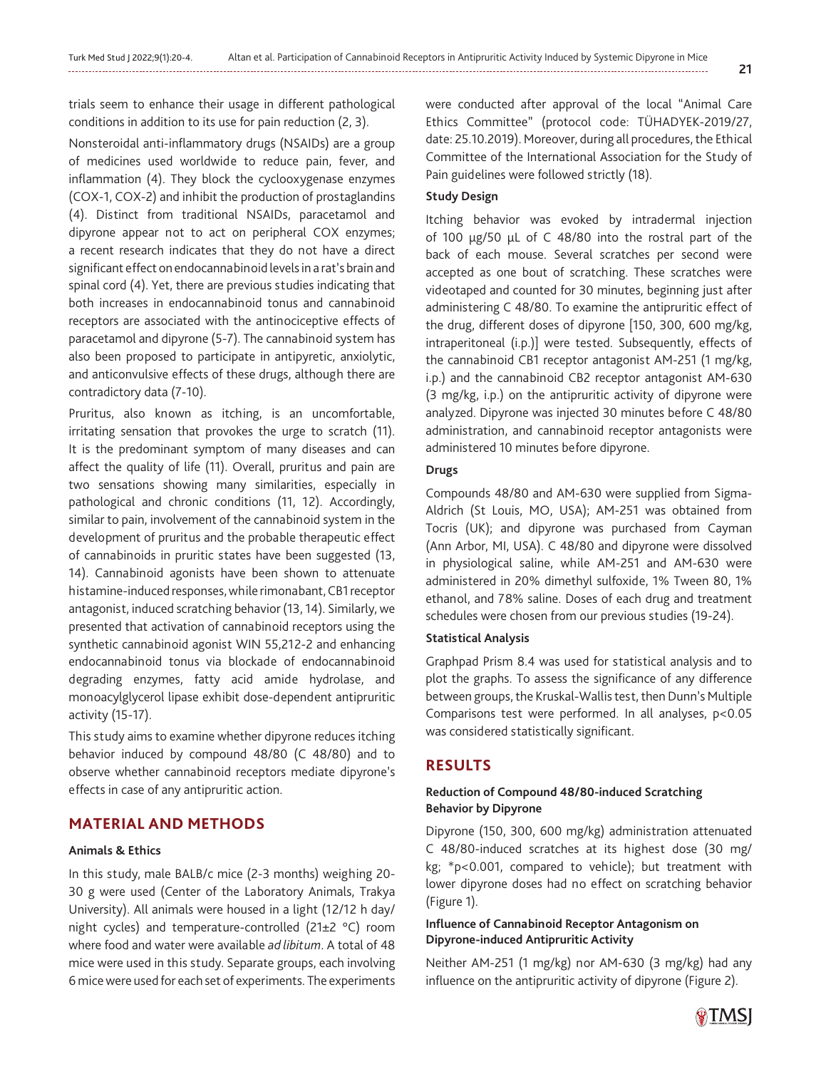trials seem to enhance their usage in different pathological conditions in addition to its use for pain reduction (2, 3).

Nonsteroidal anti-inflammatory drugs (NSAIDs) are a group of medicines used worldwide to reduce pain, fever, and inflammation (4). They block the cyclooxygenase enzymes (COX-1, COX-2) and inhibit the production of prostaglandins (4). Distinct from traditional NSAIDs, paracetamol and dipyrone appear not to act on peripheral COX enzymes; a recent research indicates that they do not have a direct significant effect on endocannabinoid levels in a rat's brain and spinal cord (4). Yet, there are previous studies indicating that both increases in endocannabinoid tonus and cannabinoid receptors are associated with the antinociceptive effects of paracetamol and dipyrone (5-7). The cannabinoid system has also been proposed to participate in antipyretic, anxiolytic, and anticonvulsive effects of these drugs, although there are contradictory data (7-10).

Pruritus, also known as itching, is an uncomfortable, irritating sensation that provokes the urge to scratch (11). It is the predominant symptom of many diseases and can affect the quality of life (11). Overall, pruritus and pain are two sensations showing many similarities, especially in pathological and chronic conditions (11, 12). Accordingly, similar to pain, involvement of the cannabinoid system in the development of pruritus and the probable therapeutic effect of cannabinoids in pruritic states have been suggested (13, 14). Cannabinoid agonists have been shown to attenuate histamine-induced responses, while rimonabant, CB1 receptor antagonist, induced scratching behavior (13, 14). Similarly, we presented that activation of cannabinoid receptors using the synthetic cannabinoid agonist WIN 55,212-2 and enhancing endocannabinoid tonus via blockade of endocannabinoid degrading enzymes, fatty acid amide hydrolase, and monoacylglycerol lipase exhibit dose-dependent antipruritic activity (15-17).

This study aims to examine whether dipyrone reduces itching behavior induced by compound 48/80 (C 48/80) and to observe whether cannabinoid receptors mediate dipyrone's effects in case of any antipruritic action.

# **MATERIAL AND METHODS**

#### **Animals & Ethics**

In this study, male BALB/c mice (2-3 months) weighing 20- 30 g were used (Center of the Laboratory Animals, Trakya University). All animals were housed in a light (12/12 h day/ night cycles) and temperature-controlled (21±2 °C) room where food and water were available *ad libitum*. A total of 48 mice were used in this study. Separate groups, each involving 6 mice were used for each set of experiments. The experiments

were conducted after approval of the local "Animal Care Ethics Committee" (protocol code: TÜHADYEK-2019/27, date: 25.10.2019). Moreover, during all procedures, the Ethical Committee of the International Association for the Study of Pain guidelines were followed strictly (18).

# **Study Design**

Itching behavior was evoked by intradermal injection of 100 µg/50 µL of C 48/80 into the rostral part of the back of each mouse. Several scratches per second were accepted as one bout of scratching. These scratches were videotaped and counted for 30 minutes, beginning just after administering C 48/80. To examine the antipruritic effect of the drug, different doses of dipyrone [150, 300, 600 mg/kg, intraperitoneal (i.p.)] were tested. Subsequently, effects of the cannabinoid CB1 receptor antagonist AM-251 (1 mg/kg, i.p.) and the cannabinoid CB2 receptor antagonist AM-630 (3 mg/kg, i.p.) on the antipruritic activity of dipyrone were analyzed. Dipyrone was injected 30 minutes before C 48/80 administration, and cannabinoid receptor antagonists were administered 10 minutes before dipyrone.

#### **Drugs**

Compounds 48/80 and AM-630 were supplied from Sigma-Aldrich (St Louis, MO, USA); AM-251 was obtained from Tocris (UK); and dipyrone was purchased from Cayman (Ann Arbor, MI, USA). C 48/80 and dipyrone were dissolved in physiological saline, while AM-251 and AM-630 were administered in 20% dimethyl sulfoxide, 1% Tween 80, 1% ethanol, and 78% saline. Doses of each drug and treatment schedules were chosen from our previous studies (19-24).

#### **Statistical Analysis**

Graphpad Prism 8.4 was used for statistical analysis and to plot the graphs. To assess the significance of any difference between groups, the Kruskal-Wallis test, then Dunn's Multiple Comparisons test were performed. In all analyses, p<0.05 was considered statistically significant.

# **RESULTS**

#### **Reduction of Compound 48/80-induced Scratching Behavior by Dipyrone**

Dipyrone (150, 300, 600 mg/kg) administration attenuated C 48/80-induced scratches at its highest dose (30 mg/ kg; \*p<0.001, compared to vehicle); but treatment with lower dipyrone doses had no effect on scratching behavior (Figure 1).

# **Influence of Cannabinoid Receptor Antagonism on Dipyrone-induced Antipruritic Activity**

Neither AM-251 (1 mg/kg) nor AM-630 (3 mg/kg) had any influence on the antipruritic activity of dipyrone (Figure 2).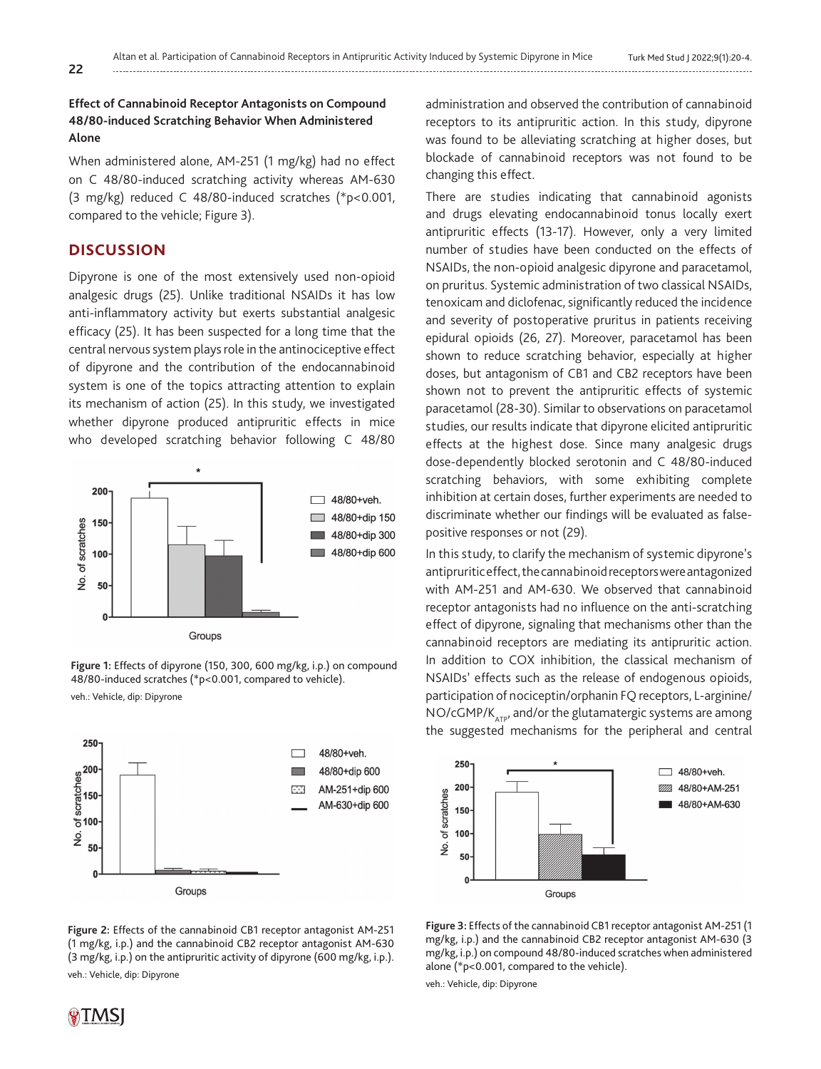# **Effect of Cannabinoid Receptor Antagonists on Compound 48/80-induced Scratching Behavior When Administered Alone**

When administered alone, AM-251 (1 mg/kg) had no effect on C 48/80-induced scratching activity whereas AM-630 (3 mg/kg) reduced C 48/80-induced scratches (\*p<0.001, compared to the vehicle; Figure 3).

# **DISCUSSION**

Dipyrone is one of the most extensively used non-opioid analgesic drugs (25). Unlike traditional NSAIDs it has low anti-inflammatory activity but exerts substantial analgesic efficacy (25). It has been suspected for a long time that the central nervous system plays role in the antinociceptive effect of dipyrone and the contribution of the endocannabinoid system is one of the topics attracting attention to explain its mechanism of action (25). In this study, we investigated whether dipyrone produced antipruritic effects in mice who developed scratching behavior following C 48/80



**Figure 1:** Effects of dipyrone (150, 300, 600 mg/kg, i.p.) on compound 48/80-induced scratches (\*p<0.001, compared to vehicle).

veh.: Vehicle, dip: Dipyrone



**Figure 2:** Effects of the cannabinoid CB1 receptor antagonist AM-251 (1 mg/kg, i.p.) and the cannabinoid CB2 receptor antagonist AM-630 (3 mg/kg, i.p.) on the antipruritic activity of dipyrone (600 mg/kg, i.p.). veh.: Vehicle, dip: Dipyrone

administration and observed the contribution of cannabinoid receptors to its antipruritic action. In this study, dipyrone was found to be alleviating scratching at higher doses, but blockade of cannabinoid receptors was not found to be changing this effect.

There are studies indicating that cannabinoid agonists and drugs elevating endocannabinoid tonus locally exert antipruritic effects (13-17). However, only a very limited number of studies have been conducted on the effects of NSAIDs, the non-opioid analgesic dipyrone and paracetamol, on pruritus. Systemic administration of two classical NSAIDs, tenoxicam and diclofenac, significantly reduced the incidence and severity of postoperative pruritus in patients receiving epidural opioids (26, 27). Moreover, paracetamol has been shown to reduce scratching behavior, especially at higher doses, but antagonism of CB1 and CB2 receptors have been shown not to prevent the antipruritic effects of systemic paracetamol (28-30). Similar to observations on paracetamol studies, our results indicate that dipyrone elicited antipruritic effects at the highest dose. Since many analgesic drugs dose-dependently blocked serotonin and C 48/80-induced scratching behaviors, with some exhibiting complete inhibition at certain doses, further experiments are needed to discriminate whether our findings will be evaluated as falsepositive responses or not (29).

In this study, to clarify the mechanism of systemic dipyrone's antipruritic effect, the cannabinoid receptors were antagonized with AM-251 and AM-630. We observed that cannabinoid receptor antagonists had no influence on the anti-scratching effect of dipyrone, signaling that mechanisms other than the cannabinoid receptors are mediating its antipruritic action. In addition to COX inhibition, the classical mechanism of NSAIDs' effects such as the release of endogenous opioids, participation of nociceptin/orphanin FQ receptors, L-arginine/  $NO/cGMP/K<sub>ATP</sub>$ , and/or the glutamatergic systems are among the suggested mechanisms for the peripheral and central





veh.: Vehicle, dip: Dipyrone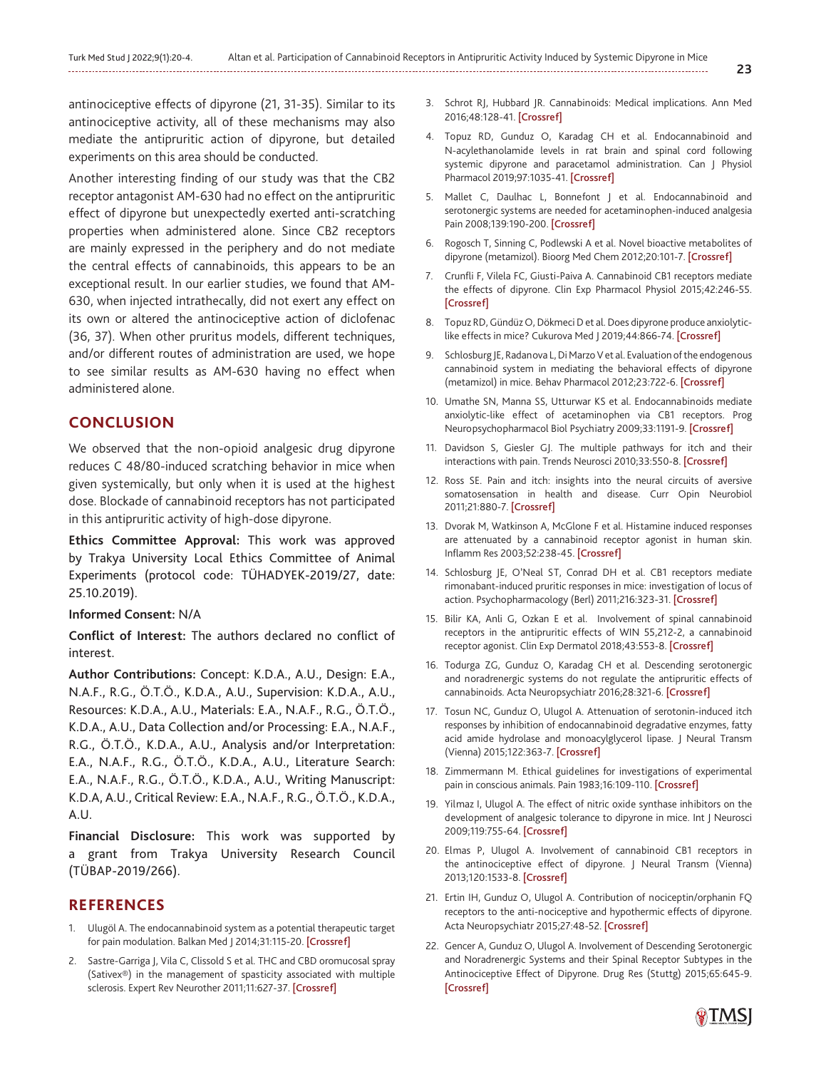antinociceptive effects of dipyrone (21, 31-35). Similar to its antinociceptive activity, all of these mechanisms may also mediate the antipruritic action of dipyrone, but detailed experiments on this area should be conducted.

Another interesting finding of our study was that the CB2 receptor antagonist AM-630 had no effect on the antipruritic effect of dipyrone but unexpectedly exerted anti-scratching properties when administered alone. Since CB2 receptors are mainly expressed in the periphery and do not mediate the central effects of cannabinoids, this appears to be an exceptional result. In our earlier studies, we found that AM-630, when injected intrathecally, did not exert any effect on its own or altered the antinociceptive action of diclofenac (36, 37). When other pruritus models, different techniques, and/or different routes of administration are used, we hope to see similar results as AM-630 having no effect when administered alone.

#### **CONCLUSION**

We observed that the non-opioid analgesic drug dipyrone reduces C 48/80-induced scratching behavior in mice when given systemically, but only when it is used at the highest dose. Blockade of cannabinoid receptors has not participated in this antipruritic activity of high-dose dipyrone.

**Ethics Committee Approval:** This work was approved by Trakya University Local Ethics Committee of Animal Experiments (protocol code: TÜHADYEK-2019/27, date: 25.10.2019).

#### **Informed Consent:** N/A

**Conflict of Interest:** The authors declared no conflict of interest.

**Author Contributions:** Concept: K.D.A., A.U., Design: E.A., N.A.F., R.G., Ö.T.Ö., K.D.A., A.U., Supervision: K.D.A., A.U., Resources: K.D.A., A.U., Materials: E.A., N.A.F., R.G., Ö.T.Ö., K.D.A., A.U., Data Collection and/or Processing: E.A., N.A.F., R.G., Ö.T.Ö., K.D.A., A.U., Analysis and/or Interpretation: E.A., N.A.F., R.G., Ö.T.Ö., K.D.A., A.U., Literature Search: E.A., N.A.F., R.G., Ö.T.Ö., K.D.A., A.U., Writing Manuscript: K.D.A, A.U., Critical Review: E.A., N.A.F., R.G., Ö.T.Ö., K.D.A., A.U.

**Financial Disclosure:** This work was supported by a grant from Trakya University Research Council (TÜBAP-2019/266).

#### **REFERENCES**

- 1. Ulugöl A. The endocannabinoid system as a potential therapeutic target for pain modulation. Balkan Med J 2014;31:115-20. [\[Crossref\]](https://doi.org/10.5152/balkanmedj.2014.13103)
- 2. Sastre-Garriga J, Vila C, Clissold S et al. THC and CBD oromucosal spray (Sativex®) in the management of spasticity associated with multiple sclerosis. Expert Rev Neurother 2011;11:627-37. [\[Crossref\]](https://doi.org/10.1586/ern.11.47)
- 3. Schrot RJ, Hubbard JR. Cannabinoids: Medical implications. Ann Med 2016;48:128-41. [\[Crossref\]](https://doi.org/10.3109/07853890.2016.1145794)
- 4. Topuz RD, Gunduz O, Karadag CH et al. Endocannabinoid and N-acylethanolamide levels in rat brain and spinal cord following systemic dipyrone and paracetamol administration. Can J Physiol Pharmacol 2019;97:1035-41. [[Crossref\]](https://doi.org/10.1139/cjpp-2019-0015)
- 5. Mallet C, Daulhac L, Bonnefont J et al. Endocannabinoid and serotonergic systems are needed for acetaminophen-induced analgesia Pain 2008;139:190-200. [\[Crossref\]](https://doi.org/10.1016/j.pain.2008.03.030)
- 6. Rogosch T, Sinning C, Podlewski A et al. Novel bioactive metabolites of dipyrone (metamizol). Bioorg Med Chem 2012;20:101-7. [\[Crossref\]](https://doi.org/10.1016/j.bmc.2011.11.028)
- 7. Crunfli F, Vilela FC, Giusti-Paiva A. Cannabinoid CB1 receptors mediate the effects of dipyrone. Clin Exp Pharmacol Physiol 2015;42:246-55. [\[Crossref\]](https://doi.org/10.1111/1440-1681.12347)
- 8. Topuz RD, Gündüz O, Dökmeci D et al. Does dipyrone produce anxiolytic-like effects in mice? Cukurova Med | 2019;44:866-74. [[Crossref\]](https://doi.org/10.17826/cumj.488406)
- 9. Schlosburg JE, Radanova L, Di Marzo V et al. Evaluation of the endogenous cannabinoid system in mediating the behavioral effects of dipyrone (metamizol) in mice. Behav Pharmacol 2012;23:722-6. [\[Crossref\]](https://doi.org/10.1097/FBP.0b013e3283584794)
- 10. Umathe SN, Manna SS, Utturwar KS et al. Endocannabinoids mediate anxiolytic-like effect of acetaminophen via CB1 receptors. Prog Neuropsychopharmacol Biol Psychiatry 2009;33:1191-9. [[Crossref\]](https://doi.org/10.1016/j.pnpbp.2009.06.020)
- 11. Davidson S, Giesler GJ. The multiple pathways for itch and their interactions with pain. Trends Neurosci 2010;33:550-8. [[Crossref\]](https://doi.org/10.1016/j.tins.2010.09.002)
- 12. Ross SE. Pain and itch: insights into the neural circuits of aversive somatosensation in health and disease. Curr Opin Neurobiol 2011;21:880-7. [[Crossref\]](https://doi.org/10.1016/j.conb.2011.10.012)
- 13. Dvorak M, Watkinson A, McGlone F et al. Histamine induced responses are attenuated by a cannabinoid receptor agonist in human skin. Inflamm Res 2003;52:238-45. [\[Crossref\]](https://doi.org/10.1007/s00011-003-1162-z)
- 14. Schlosburg JE, O'Neal ST, Conrad DH et al. CB1 receptors mediate rimonabant-induced pruritic responses in mice: investigation of locus of action. Psychopharmacology (Berl) 2011;216:323-31. [[Crossref\]](https://doi.org/10.1007/s00213-011-2224-5)
- 15. Bilir KA, Anli G, Ozkan E et al. Involvement of spinal cannabinoid receptors in the antipruritic effects of WIN 55,212-2, a cannabinoid receptor agonist. Clin Exp Dermatol 2018;43:553-8. [\[Crossref\]](https://doi.org/10.1111/ced.13398)
- 16. Todurga ZG, Gunduz O, Karadag CH et al. Descending serotonergic and noradrenergic systems do not regulate the antipruritic effects of cannabinoids. Acta Neuropsychiatr 2016;28:321-6. [\[Crossref\]](https://doi.org/10.1017/neu.2016.16)
- 17. Tosun NC, Gunduz O, Ulugol A. Attenuation of serotonin-induced itch responses by inhibition of endocannabinoid degradative enzymes, fatty acid amide hydrolase and monoacylglycerol lipase. J Neural Transm (Vienna) 2015;122:363-7. [[Crossref\]](https://doi.org/10.1007/s00702-014-1251-x)
- 18. Zimmermann M. Ethical guidelines for investigations of experimental pain in conscious animals. Pain 1983;16:109-110. [\[Crossref\]](https://doi.org/10.1016/0304-3959(83)90201-4)
- 19. Yilmaz I, Ulugol A. The effect of nitric oxide synthase inhibitors on the development of analgesic tolerance to dipyrone in mice. Int J Neurosci 2009;119:755-64. [[Crossref\]](https://doi.org/10.1080/00207450902776192)
- 20. Elmas P, Ulugol A. Involvement of cannabinoid CB1 receptors in the antinociceptive effect of dipyrone. J Neural Transm (Vienna) 2013;120:1533-8. [[Crossref](https://doi.org/10.1007/s00702-013-1052-7)]
- 21. Ertin IH, Gunduz O, Ulugol A. Contribution of nociceptin/orphanin FQ receptors to the anti-nociceptive and hypothermic effects of dipyrone. Acta Neuropsychiatr 2015;27:48-52. [\[Crossref\]](https://doi.org/10.1017/neu.2014.38)
- 22. Gencer A, Gunduz O, Ulugol A. Involvement of Descending Serotonergic and Noradrenergic Systems and their Spinal Receptor Subtypes in the Antinociceptive Effect of Dipyrone. Drug Res (Stuttg) 2015;65:645-9. [\[Crossref\]](https://doi.org/10.1055/s-0034-1398550)